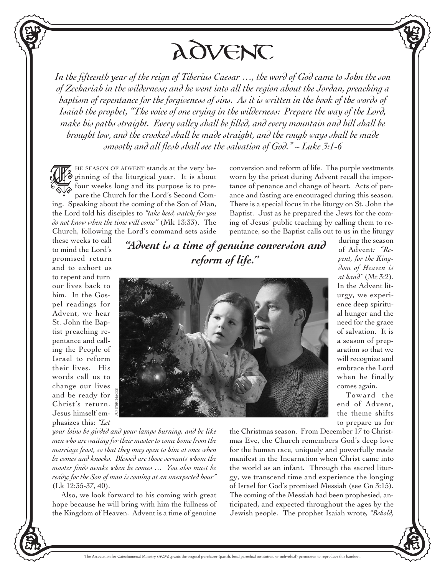Advent

*In the fifteenth year of the reign of Tiberius Caesar …, the word of God came to John the son of Zechariah in the wilderness; and he went into all the region about the Jordan, preaching a baptism of repentance for the forgiveness of sins. As it is written in the book of the words of Isaiah the prophet, "The voice of one crying in the wilderness: Prepare the way of the Lord, make his paths straight. Every valley shall be filled, and every mountain and hill shall be brought low, and the crooked shall be made straight, and the rough ways shall be made smooth; and all flesh shall see the salvation of God." ~ Luke 3:1-6*

HE SEASON OF ADVENT stands at the very be- $\bullet$  ginning of the liturgical year. It is about Four HE SEASON OF ADVENT stands at the very be-<br>  $\bigotimes_{\mathbb{R}} \mathcal{F}$  ginning of the liturgical year. It is about<br>  $\bigotimes_{\mathbb{R}} \mathcal{F}$  four weeks long and its purpose is to prepare the Church for the Lord's Second Coming. Speaking about the coming of the Son of Man, the Lord told his disciples to *"take heed, watch; for you do not know when the time will come"* (Mk 13:33). The Church, following the Lord's command sets aside

conversion and reform of life. The purple vestments worn by the priest during Advent recall the importance of penance and change of heart. Acts of penance and fasting are encouraged during this season. There is a special focus in the liturgy on St. John the Baptist. Just as he prepared the Jews for the coming of Jesus' public teaching by calling them to repentance, so the Baptist calls out to us in the liturgy

> during the season of Advent*: "Repent, for the Kingdom of Heaven is at hand"* (Mt 3:2). In the Advent liturgy, we experience deep spiritual hunger and the need for the grace of salvation. It is a season of preparation so that we will recognize and embrace the Lord when he finally comes again.

> Toward the end of Advent, the theme shifts to prepare us for

these weeks to call to mind the Lord's promised return and to exhort us to repent and turn our lives back to him. In the Gospel readings for Advent, we hear St. John the Baptist preaching repentance and calling the People of Israel to reform their lives. His words call us to change our lives and be ready for Christ's return. JUPITERIMAGES

Jesus himself emphasizes this: *"Let*  *"Advent is a time of genuine conversion and reform of life."*



*your loins be girded and your lamps burning, and be like men who are waiting for their master to come home from the marriage feast, so that they may open to him at once when he comes and knocks. Blessed are those servants whom the master finds awake when he comes … You also must be ready; for the Son of man is coming at an unexpected hour"*  (Lk 12:35-37, 40).

Also, we look forward to his coming with great hope because he will bring with him the fullness of the Kingdom of Heaven. Advent is a time of genuine

the Christmas season. From December 17 to Christmas Eve, the Church remembers God's deep love for the human race, uniquely and powerfully made manifest in the Incarnation when Christ came into the world as an infant. Through the sacred liturgy, we transcend time and experience the longing of Israel for God's promised Messiah (see Gn 3:15). The coming of the Messiah had been prophesied, anticipated, and expected throughout the ages by the Jewish people. The prophet Isaiah wrote*, "Behold,*